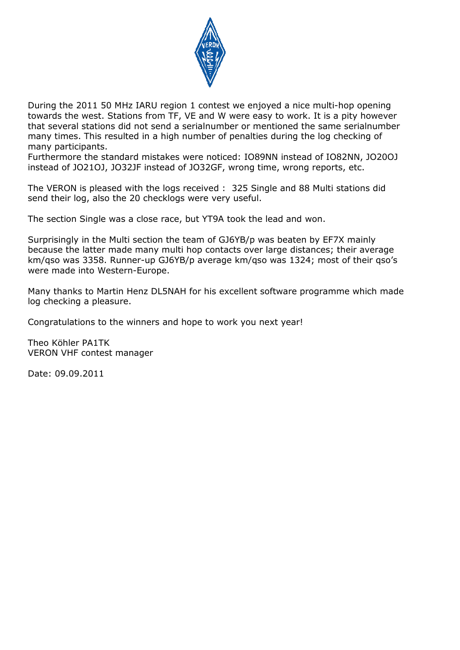

During the 2011 50 MHz IARU region 1 contest we enjoyed a nice multi-hop opening towards the west. Stations from TF, VE and W were easy to work. It is a pity however that several stations did not send a serialnumber or mentioned the same serialnumber many times. This resulted in a high number of penalties during the log checking of many participants.

Furthermore the standard mistakes were noticed: IO89NN instead of IO82NN, JO20OJ instead of JO21OJ, JO32JF instead of JO32GF, wrong time, wrong reports, etc.

The VERON is pleased with the logs received : 325 Single and 88 Multi stations did send their log, also the 20 checklogs were very useful.

The section Single was a close race, but YT9A took the lead and won.

Surprisingly in the Multi section the team of GJ6YB/p was beaten by EF7X mainly because the latter made many multi hop contacts over large distances; their average km/qso was 3358. Runner-up GJ6YB/p average km/qso was 1324; most of their qso's were made into Western-Europe.

Many thanks to Martin Henz DL5NAH for his excellent software programme which made log checking a pleasure.

Congratulations to the winners and hope to work you next year!

Theo Köhler PA1TK VERON VHF contest manager

Date: 09.09.2011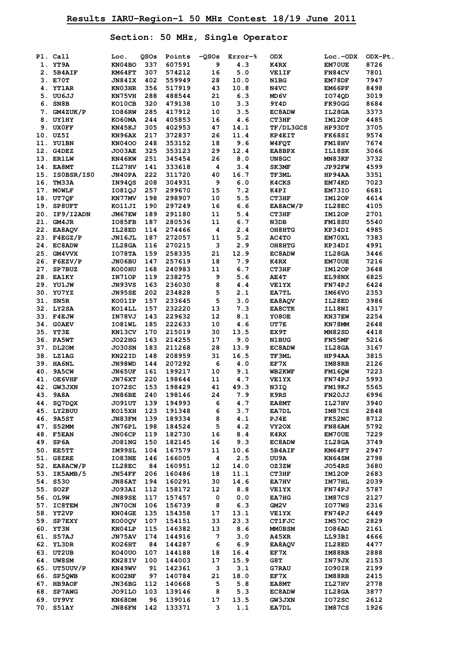**Section: 50 MHz, Single Operator** 

|    | Pl. Call                 | Loc.             | QSOs       | Points           | $-0.50s$ | Error-%               | <b>ODX</b>                    | Loc.-ODX         | ODX-Pt.      |
|----|--------------------------|------------------|------------|------------------|----------|-----------------------|-------------------------------|------------------|--------------|
|    | 1. YT9A                  | KN04BO           | 337        | 607591           | 9        | 4.3                   | K4RX                          | EM70UE           | 8726         |
|    | 2. 5B4AIF                | KM64FT           | 307        | 574212           | 16       | 5.0                   | <b>VE1IF</b>                  | FN84CV           | 7801         |
|    | 3. E70T                  | JN84IX           | 402        | 559949           | 28       | 10.0                  | N1BG                          | EM78DF           | 7947         |
|    | 4. YT1AR                 | KN03HR           | 356        | 517919           | 43       | 10.8                  | N4VC                          | EM66PF           | 8498         |
| 5. | UU6JJ                    | KN75VH           | 288        | 488544           | 21       | 6.3                   | MD 6V                         | I074QD           | 3019         |
|    | 6. SN8B                  | KO10CB           | 320        | 479138           | 10       | 3.3                   | 9Y4D                          | FK90GG           | 8684         |
| 7. | GM4ZUK/P                 | IO86RW           | 285        | 417912           | 10       | 3.5                   | EC8ADW                        | IL28GA           | 3373         |
|    | 8. UY1HY                 | KO60MA           | 244        | 405853           | 16       | 4.6                   | CT3HF                         | IM12OP           | 4485         |
|    | 9. UXOFF                 | KN45KJ           | 305        | 402953           | 47       | 14.1                  | TF/DL3GCS                     | HP93DT           | 3705         |
|    | 10. UZ5I                 | KN96AX           | 217        | 372837           | 26       | 11.4                  | <b>KP4EIT</b>                 | FK68SI           | 9574         |
|    | 11. YU1BN                | <b>KN0400</b>    | 248        | 353152           | 18       | 9.6                   | W4FQT                         | <b>FM18HV</b>    | 7674         |
|    | 12. G4DEZ                | JO03AE           | 325        | 353123           | 29       | 12.4                  | <b>EA8BPX</b>                 | IL18SK           | 3066         |
|    | 13. ER1LW                | KN46KW           | 251        | 345454           | 26       | $\bf 8$ . $\bf 0$     | UN8GC                         | MN83KF           | 3732         |
|    | 14. EA8MT                | IL27HV           | 141        | 333618           | 4        | 3.4                   | <b>SK3MF</b>                  | <b>JP92FW</b>    | 4599         |
|    | 15. ISOBSR/ISO           | JN40PA           | 222        | 311720           | 40       | 16.7                  | TF3ML                         | HP94AA           | 3351         |
|    | 16. TM33A                | IN94QS           | 208        | 304931           | 9        | 6.0                   | K4CKS                         | EM74KD           | 7023         |
|    | 17. MOWLF                | I081QJ           | 257        | 299670           | 15       | 7.2                   | K4PI                          | EM73IO           | 6681         |
|    | 18. UT7QF                | KN77MV           | 198        | 298907           | 10       | 5.5                   | CT3HF                         | IM12OP           | 4614         |
|    | 19. SP8UFT               | KO11JI           | 190        | 297249           | 16       | 6.6                   | EA8ACW/P                      | IL28EC           | 4105         |
|    | 20. IF9/I2ADN            | JM67EW           | 189        | 291180           | 11       | 5.4                   | CT3HF                         | IM12OP           | 2701         |
|    | 21. GM4JR                | IO85FB           | 187        | 280536           | 11       | $6.7\,$               | N3DB                          | <b>FM18SU</b>    | 5540         |
|    | 22. EA8AOV               | IL28ED           | 114        | 274466           | 4        | 2.4                   | OH8HTG                        | KP34DI           | 4985         |
|    | 23. F4EGZ/P              | JN16JL           | 187        | 272057           | 11       | 5.2                   | AC4TO                         | <b>EM70XL</b>    | 7383         |
|    | 24. EC8ADW               | IL28GA           | 116        | 270215           | 3        | 2.9                   | OH8HTG                        | KP34DI           | 4991         |
|    | 25. GM4VVX               | IO78TA           | 159        | 258335           | 21       | 12.9                  | EC8ADW                        | IL28GA           | 3446         |
|    | 26. F6EZV/P              | JN06BU           | 147        | 257619           | 18       | 7.9                   | K4RX                          | EM70UE           | 7216         |
|    | 27. SP7BUZ               | KO00HU           | 168        | 240983           | 11       | 6.7                   | CT3HF                         | <b>IM120P</b>    | 3648         |
|    | 28. EA1KY                | IN71OP           | 119        | 238275           | 9        | 5.6                   | AE4T                          | EL98NX           | 6825         |
|    | 29. YU1JW                | JN93VS           | 163        | 236030           | 8        | 4.4                   | <b>VE1YX</b>                  | FN74PJ           | 6424         |
|    | 30. YU7YZ                | <b>JN95SE</b>    | 202        | 234828           | 5        | 2.1                   | EA7TL                         | IM66VO           | 2353         |
|    | 31. SN5R                 | KO01IP           | 157        | 233645           | 5        | 3.0                   | EA8AQV                        | IL28ED           | 3986         |
|    | 32. LY2SA                | KO14LL           | 157        | 232220           | 13       | 7.3                   | <b>EA8CTK</b>                 | IL18NI           | 4317         |
|    | 33. F4EJW                | IN78VJ           | 143        | 229632           | 12       | 8.1                   | YO8OE                         | KN37EW           | 2254         |
|    | 34. GOAEV                | IO81WL           | 185        | 222633           | 10       | 4.6                   | UT7E                          | KN78MM           | 2648         |
|    | 35. YT3E                 | KN13CV           | 170        | 215019           | 30       | 13.5                  | EX9T                          | <b>MN82SD</b>    | 4418         |
|    | 36. PA5WT                | <b>JO22HG</b>    | 163        | 214255           | 17       | 9.0                   | <b>N1BUG</b>                  | FN55MF           | 5216         |
|    | 37. DL20M                | <b>JO30SN</b>    | 183        | 211268           | 28       | 13.9                  | <b>EC8ADW</b>                 | IL28GA           | 3167         |
|    | 38. LZ1AG                | KN22ID           | 148        | 208959           | 31       | 16.5                  | TF3ML                         | HP94AA           | 3815         |
|    | 39. HA6NL                | JN98WD           | 144        | 207292           | 6        | 4.0                   | EF7X                          | IM88RB           | 2126         |
|    | 40. 9A5CW                | JN65UF           | 161        | 199217           | 10       | 9.1                   | <b>WB2KWF</b>                 | <b>FM160W</b>    | 7223         |
|    | 41. OE6VHF               | JN76XT           | 220        | 198644           | 11       | 4.7                   | <b>VE1YX</b>                  | FN74PJ           | 5993         |
|    | 42. GW3JXN               | I072SC           | 153        | 198429           | 41       | 49.3                  | N3IQ                          | FM19KJ           | 5565         |
|    | 43. 9A8A                 | JN86BE           | 240        | 198146           | 24       | 7.9                   | <b>K9RS</b>                   | <b>FN20JJ</b>    | 6996         |
|    | 44. SQ7DQX               | JO91UT           | 139        | 194993           | 6        | 4.7                   | <b>EA8MT</b>                  | IL27HV           | 3940         |
|    | 45. LY2BUU               | KO15XH           | 123        | 191348           | 6        | 3.7                   | EA7DL                         | IM87CS           | 2848         |
|    | 46. 9A5ST                | JN83FM           | 139        | 189334           | 8        | 4.1                   | PJ4E                          | <b>FK52NC</b>    | 8712         |
|    | 47. S52MM                | JN76PL           | 198        | 184524           | 5        | 4.2                   | VY20X                         | FN86AM           | 5792         |
|    | 48. F5EAN                | JN06CP           | 119        | 182730           | 16       | 8.4                   | K4RX                          | <b>EM70UE</b>    | 7229         |
|    | 49. SP6A                 | <b>JO81NG</b>    | 150        | 182145           | 16       | 9.3                   | <b>EC8ADW</b>                 | IL28GA           | 3749         |
|    | 50. EE5TT                | IM99SL           | 104        | 167579           | 11       | 10.6                  | <b>5B4AIF</b>                 | KM64FT           | 2947         |
|    | 51. G8ZRE                | IO83NE           | 146        | 166005           | 4        | 2.5                   | UU9A                          | KN64SM           | 2798         |
|    | 52. EA8ACW/P             | IL28EC           | 84         | 160951           | 12       | 14.0                  | OZ3ZW                         | <b>JO54RS</b>    | 3680         |
|    | 53. IK5AMB/5<br>54. S530 | JN54FF           | 206        | 160486           | 18       | 11.1                  | CT3HF                         | IM12OP           | 2683         |
|    |                          | <b>JN86AT</b>    | 194        | 160291           | 30       | 14.6                  | <b>EA7HV</b>                  | IM77HL           | 2039         |
|    | 55. SO2F                 | JO93AI           | 112        | 158172           | 12       | 8.8                   | <b>VE1YX</b>                  | FN74PJ           | 5787         |
|    | 56. OL9W                 | <b>JN89SE</b>    | 117        | 157457           | 0        | 0.0                   | EA7HG                         | IM87CS           | 2127         |
|    | 57. IC8TEM               | JN70CN           | 106        | 156739           | 8        | 6.3                   | GM2V                          | IO77WS           | 2316         |
|    | 58. YT2VP                | KN04GE           | 135        | 154358           | 17       | 13.1                  | <b>VE1YX</b>                  | FN74PJ           | 6449         |
|    | 59. SP7EXY               | KO00QV           | 107        | 154151           | 33       | 23.3                  | <b>CT1FJC</b>                 | IM570C           | 2829         |
|    | 60. YT3N<br>61. S57AJ    | KN04LP           | 115<br>174 | 146382<br>144916 | 13<br>7  | 8.6                   | <b>MMOBSM</b><br><b>A45XR</b> | <b>IO86AD</b>    | 2161<br>4666 |
|    |                          | JN75AV           |            |                  |          | 3.0                   |                               | LL93BI           |              |
|    | 62. YL3DR<br>63. UT2UB   | KO26HT           | 84         | 144287           | 6        | 6.9                   | EA8AQV                        | IL28ED           | 4477         |
|    | 64. UW8SM                | KO40UO           | 107<br>100 | 144188<br>144003 | 18<br>17 | 16.4<br>15.9          | EF7X<br>G8T                   | IM88RB<br>IN79JX | 2888<br>2153 |
|    | 65. UT5UUV/P             | KN28IV<br>KN49WV | 91         | 142361           | 3        | 3.1                   | G7RAU                         | IO90IR           | 2199         |
|    | 66. SP5QWB               | <b>KO02NF</b>    | 97         | 140784           | 21       | 18.0                  | EF7X                          | IM88RB           | 2415         |
|    | 67. HB9AOF               | JN36BG           | 112        | 140668           | 5        | 5.8                   | EA8MT                         | IL27HV           | 2778         |
|    | 68. SP7AWG               | <b>JO91LO</b>    | 103        | 139146           | 8        | 5.3                   | <b>EC8ADW</b>                 | IL28GA           | 3877         |
|    | 69. UY9VY                | KN68DM           | 96         | 139016           | 17       | 13.5                  | <b>GW3JXN</b>                 | 1072SC           | 2612         |
|    | 70. S51AY                | JN86FN           | 142        | 133371           | 3        | ${\bf 1}$ . ${\bf 1}$ | EA7DL                         | IM87CS           | 1926         |
|    |                          |                  |            |                  |          |                       |                               |                  |              |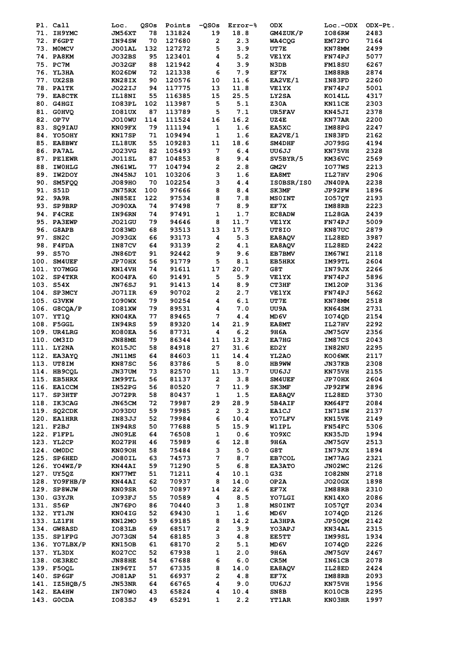| Pl. Call                   | Loc.          | QSOs | Points | $-Q$ SOs     | Error-%   | <b>ODX</b>    | $Loc.-ODX$    | ODX-Pt. |
|----------------------------|---------------|------|--------|--------------|-----------|---------------|---------------|---------|
| 71. IH9YMC                 | JM56XT        | 78   | 131824 | 19           | 18.8      | GM4ZUK/P      | IO86RW        | 2483    |
| 72. F6GPT                  | IN94SW        | 70   | 127680 | $\mathbf{2}$ | 2.3       | WA4CQG        | EM72FO        | 7164    |
| 73. MOMCV                  | JO01AL        | 132  | 127272 | 5            | 3.9       | UT7E          | KN78MM        | 2499    |
| 74. PA8KM                  | JO32BS        | 95   | 123401 | 4            | 5.2       | <b>VE1YX</b>  | FN74PJ        | 5077    |
| 75. PC7M                   | <b>JO32GF</b> | 88   | 121942 | 4            | 3.9       | N3DB          | <b>FM18SU</b> | 6267    |
| 76. YL3HA                  | KO26DW        | 72   | 121338 | 6            | 7.9       | EF7X          | IM88RB        | 2874    |
| 77. UX2SB                  |               | 90   | 120576 |              |           |               |               | 2260    |
|                            | KN28IX        |      |        | 10           | 11.6      | EA2VE/1       | IN83FD        |         |
| <b>78. PA1TK</b>           | J022IJ        | 94   | 117775 | 13           | 11.8      | <b>VE1YX</b>  | FN74PJ        | 5001    |
| 79. EA8CTK                 | IL18NI        | 55   | 116385 | 15           | 25.5      | LY2SA         | KO14LL        | 4317    |
| 80. G4HGI                  | IO83PL        | 102  | 113987 | 5            | 5.1       | <b>Z30A</b>   | KN11CE        | 2303    |
| 81. GOHVO                  | IO81UX        | 87   | 113789 | 5            | $\bf 7.1$ | UR5FAV        | KN45JI        | 2378    |
| 82. OP7V                   | <b>JO10WU</b> | 114  | 111524 | 16           | 16.2      | UZ4E          | KN77AR        | 2200    |
| 83. SQ9IAU                 | KN09FX        | 79   | 111194 | $\mathbf 1$  | 1.6       | EA5XC         | IM88PG        | 2247    |
| 84. YO5OHY                 | KN17SP        | 71   | 109494 | 1            | 1.6       | EA2VE/1       | IN83FD        | 2162    |
| 85. EA8BWY                 | IL18UK        | 55   | 109283 | ${\bf 11}$   | 18.6      | SM4DHF        | JO79SG        | 4194    |
| 86. PA7AL                  | <b>JO23VG</b> | 82   | 105493 | 7            | 6.4       | UU6JJ         | KN75VH        | 2328    |
| 87. PE1EWR                 | JO11SL        | 87   | 104853 | 8            | 9.4       | SV5BYR/5      | KM36VC        | 2569    |
| 88. IWOHLG                 | JN61WL        | 77   | 104794 | 2            | 2.8       | <b>GM2V</b>   | IO77WS        | 2213    |
| 89. IW2DOY                 | JN45NJ        | 101  | 103206 | 3            | 1.6       | EA8MT         | IL27HV        | 2906    |
|                            |               |      |        |              |           |               |               |         |
| 90. SM5FQQ                 | <b>JO89HO</b> | 70   | 102254 | 3            | 4.4       | IS0BSR/IS0    | JN40PA        | 2238    |
| 91. S51D                   | JN75RX        | 100  | 97666  | 8            | 8.4       | <b>SK3MF</b>  | JP92FW        | 1896    |
| 92. 9A9R                   | JN85EI        | 122  | 97534  | 8            | 7.8       | <b>MSOINT</b> | <b>IO57QT</b> | 2193    |
| 93. SP9BRP                 | JO90XA        | 74   | 97498  | 7            | 8.9       | EF7X          | IM88RB        | 2223    |
| 94. F4CRE                  | IN96RN        | 74   | 97491  | 1            | 1.7       | <b>EC8ADW</b> | IL28GA        | 2439    |
| 95. PA3EWP                 | <b>JO21GU</b> | 79   | 94646  | 8            | 11.7      | <b>VE1YX</b>  | FN74PJ        | 5009    |
| 96. G8APB                  | IO83WD        | 68   | 93513  | 13           | 17.5      | UT8IO         | KN87UC        | 2879    |
| 97. SN2C                   | <b>JO93GX</b> | 66   | 93173  | 4            | 5.3       | EA8AQV        | IL28ED        | 3987    |
| 98. F4FDA                  | IN87CV        | 64   | 93139  | 2            | 4.1       | EA8AQV        | IL28ED        | 2422    |
| 99. S570                   | <b>JN86DT</b> | 91   | 92442  | 9            | 9.6       | EB7BMV        | IM67WI        | 2118    |
| 100. SM4UEF                | JP70HX        | 56   | 91779  | 5            | 8.1       | EB5HRX        | IM99TL        | 2604    |
| 101. YO7MGG                |               |      | 91611  | 17           |           |               |               |         |
|                            | KN14VH        | 74   |        |              | 20.7      | G8T           | IN79JX        | 2266    |
| 102. SP4TKR                | KO04FA        | 60   | 91491  | 5            | 5.9       | <b>VE1YX</b>  | FN74PJ        | 5896    |
| 103. S54X                  | <b>JN76SJ</b> | 91   | 91413  | 14           | 8.9       | CT3HF         | IM120P        | 3136    |
| 104. SP3MCY                | JO71IR        | 69   | 90702  | 2            | 2.7       | <b>VE1YX</b>  | FN74PJ        | 5662    |
| 105. G3VKW                 | IO90WX        | 79   | 90254  | 4            | 6.1       | UT7E          | KN78MM        | 2518    |
| 106. G8CQA/P               | IO81XW        | 79   | 89531  | 4            | 7.0       | UU9A          | KN64SM        | 2731    |
| 107. YT1Q                  | KN04KA        | 77   | 89465  | 7            | 4.4       | MD 6V         | I074QD        | 2154    |
| 108. F5GGL                 | IN94RS        | 59   | 89320  | 14           | 21.9      | EA8MT         | IL27HV        | 2292    |
| 109. UR4LRG                | KO80EA        | 56   | 87731  | 4            | 6.2       | 9H6A          | JM75GV        | 2356    |
| 110. OM3ID                 | <b>JN88ME</b> | 79   | 86344  | 11           | 13.2      | EA7HG         | IM87CS        | 2043    |
| 111. LY2NA                 | KO15JC        | 58   | 84918  | 27           | 31.6      | ED2Y          | IN82NU        | 2295    |
| 112. EA3AYQ                | <b>JN11MS</b> | 64   | 84603  | 11           | 14.4      | YL2AO         | <b>KO06WK</b> | 2117    |
| 113. UT8IM                 | KN87SC        | 56   | 83786  | 5            | 8.0       | HB9WW         | JN37KB        | 2308    |
|                            |               | 73   |        | 11           |           | UU6JJ         |               | 2155    |
| 114. HB9CQL<br>115. EB5HRX | JN37UM        |      | 82570  |              | 13.7      |               | KN75VH        |         |
|                            | IM99TL        | 56   | 81137  | 2            | 3.8       | <b>SM4UEF</b> | JP70HX        | 2604    |
| 116. EA1CCM                | IN52PG        | 56   | 80520  | 7            | 11.9      | SK3MF         | JP92FW        | 2896    |
| 117. SP3HTF                | JO72PR        | 58   | 80437  | 1            | 1.5       | <b>EA8AQV</b> | IL28ED        | 3730    |
| 118. IK3CAG                | JN65CM        | 72   | 79987  | 29           | 28.9      | 5B4AIF        | KM64FT        | 2084    |
| 119. SQ2CDK                | JO93DU        | 59   | 79985  | 2            | 3.2       | <b>EA1CJ</b>  | IN71SW        | 2137    |
| <b>120. EA1HRR</b>         | <b>IN83JJ</b> | 52   | 79984  | 6            | 10.4      | YO7LFV        | KN15VE        | 2149    |
| 121. F2BJ                  | IN94RS        | 50   | 77688  | 5            | 15.9      | <b>W1IPL</b>  | FN54FC        | 5306    |
| 122. F1FPL                 | JN09LE        | 64   | 76508  | 1            | 0.6       | YO9XC         | KN35JD        | 1994    |
| 123. YL2CP                 | KO27PH        | 46   | 75989  | 6            | 12.8      | 9H6A          | JM75GV        | 2513    |
| 124. OMODC                 | KN09OH        | 58   | 75484  | з            | 5.0       | G8T           | IN79JX        | 1894    |
| 125. SP6HED                | JO80IL        | 63   | 74573  | 7            | 8.7       | EB7COL        | IM77AG        | 2321    |
| 126. YO4WZ/P               | KN44AI        | 59   | 71290  | 5            | 6.8       | <b>EA3ATO</b> | JN02WC        | 2126    |
| 127. UY50Z                 | KN77MT        | 51   | 71211  | 4            | 10.1      | G3Z           | IO82NN        | 2718    |
| 128. YO9FHB/P              |               | 62   | 70937  |              | 14.0      | OP2A          |               | 1898    |
|                            | <b>KN44AI</b> |      |        | 8            |           |               | <b>JO20GX</b> |         |
| 129. SP8WJW                | KN09SR        | 50   | 70897  | 14           | 22.6      | EF7X          | IM88RB        | 2310    |
| 130. G3YJR                 | IO93FJ        | 55   | 70589  | 4            | 8.5       | YO7LGI        | KN14XO        | 2086    |
| 131. S56P                  | JN76PO        | 86   | 70440  | з            | 1.8       | <b>MSOINT</b> | <b>IO57QT</b> | 2034    |
| 132. YT1JN                 | KN04IG        | 52   | 69430  | 1            | 1.6       | MD6V          | IO74QD        | 2126    |
| 133. LZ1FH                 | KN12MO        | 59   | 69185  | 8            | 14.2      | LA3HPA        | JP50QM        | 2142    |
| 134. GW8ASD                | IO83LB        | 69   | 68517  | 2            | 3.9       | YO3APJ        | KN34AL        | 2315    |
| 135. SP1FPG                | JO73GN        | 54   | 68185  | 3            | 4.8       | EE5TT         | IM99SL        | 1934    |
| 136. YO7LBX/P              | KN150B        | 61   | 68170  | 2            | 5.1       | MD 6V         | I074QD        | 2226    |
| 137. YL3DX                 | KO27CC        | 52   | 67938  | 1            | 2.0       | 9H6A          | JM75GV        | 2467    |
| 138. OE3REC                | <b>JN88HE</b> | 54   | 67688  | 6            | 6.0       | CR5M          | IN61CB        | 2078    |
| 139. F50QL                 | IN96TI        | 57   | 67335  | 8            | 14.0      | EA8AQV        | IL28ED        | 2424    |
| 140. SP6GF                 | <b>JO81AP</b> | 51   | 66937  | 2            | 4.8       | EF7X          | IM88RB        | 2093    |
| 141. IZ5HQB/5              | JN53NR        | 64   | 66765  | 4            | 9.0       | UU6JJ         | KN75VH        | 1956    |
|                            |               |      |        |              |           |               |               |         |
| 142. EA4HW                 | <b>IN70WO</b> | 43   | 65824  | 4            | 10.4      | SN8B          | KO10CB        | 2295    |
| 143. GOCDA                 | <b>IO83SJ</b> | 49   | 65291  | 1            | $2.2\,$   | <b>YT1AR</b>  | KN03HR        | 1997    |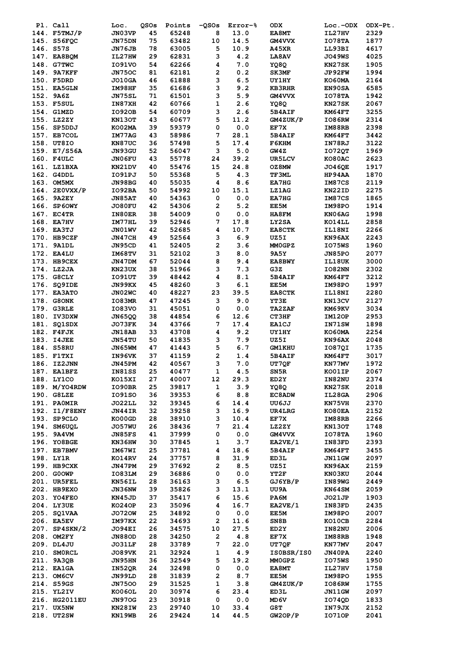| Pl. Call      | Loc.          | QSOs | Points | $-Q$ SOs    | Error-%               | <b>ODX</b>    | $Loc.-ODX$    | ODX-Pt. |
|---------------|---------------|------|--------|-------------|-----------------------|---------------|---------------|---------|
| 144. F5TMJ/P  | JN03VP        | 45   | 65248  | 8           | 13.0                  | <b>EA8MT</b>  | IL27HV        | 2329    |
| 145. S56FQC   | JN75DN        | 75   | 63482  | 10          | 14.5                  | GM4VVX        | IO78TA        | 1877    |
| 146. S57S     | JN76JB        | 78   | 63005  | 5           | 10.9                  | A45XR         | LL93BI        | 4617    |
| 147. EA8BQM   | IL27HW        | 29   | 62831  | 3           | 4.2                   | <b>LA8AV</b>  | <b>JO49WS</b> | 4025    |
| 148. G7TWC    | I091V0        | 54   | 62266  | 4           | 7.0                   | YQ8Q          | KN27SK        | 1905    |
| 149. 9A7KFF   | <b>JN750C</b> | 81   | 62181  | 2           | 0.2                   | <b>SK3MF</b>  | JP92FW        | 1994    |
| 150. F5DRD    | <b>JO10GA</b> | 46   | 61888  | 3           | 6.5                   | <b>UY1HY</b>  | KO60MA        | 2164    |
| 151. EA5GLN   | IM98HF        | 35   | 61686  | 3           | 9.2                   | <b>KB3RHR</b> | EN90SA        | 6585    |
| 152. 9A6Z     | <b>JN75SL</b> | 71   | 61501  | з           | 5.9                   | GM4VVX        | IO78TA        | 1942    |
| 153. F5SUL    | IN87XH        | 42   | 60766  | 1           | 2.6                   | YQ8Q          | KN27SK        | 2067    |
| 154. G1MZD    | <b>IO920B</b> | 54   | 60709  | 3           | 2.6                   | 5B4AIF        | KM64FT        | 3255    |
| 155. LZ2ZY    | KN130T        | 43   | 60677  | 5           | 11.2                  | GM4ZUK/P      | <b>IO86RW</b> | 2314    |
| 156. SP5DDJ   | KO02MA        | 39   | 59379  | 0           | 0.0                   | EF7X          | IM88RB        | 2398    |
| 157. EB7COL   | IM77AG        | 43   | 58986  | 7           | 28.1                  | 5B4AIF        | KM64FT        | 3442    |
| 158. UT8IO    | KN87UC        | 36   | 57498  | 5           | 17.4                  | F6KHM         | IN78RJ        | 3122    |
| 159. E7/S56A  | <b>JN93GU</b> | 52   | 56047  | 3           | $\bf 5.0$             | GW4Z          | IO72QT        | 1969    |
| 160. F4ULC    | <b>JN06FU</b> | 43   | 55778  | 24          | 39.2                  | UR5LCV        | KO80AC        | 2623    |
| 161. LZ1BXA   | KN21DV        | 40   | 55476  | 15          | 24.8                  | OZ8MW         | <b>JO46QE</b> | 1917    |
| 162. G4DDL    | IO91PJ        | 50   | 55368  | 5           | 4.3                   | TF3ML         | HP94AA        | 1870    |
| 163. OM5MX    | JN98BG        | 40   | 55035  | 4           | 8.6                   | EA7HG         | IM87CS        | 2119    |
| 164. 2E0VXX/P | IO92BA        | 50   | 54992  | 10          | 15.1                  | <b>LZ1AG</b>  | KN22ID        | 2275    |
| 165. 9A2EY    | <b>JN85AT</b> | 40   | 54363  | 0           | $0.0$                 | <b>EA7HG</b>  | IM87CS        | 1865    |
| 166. SP6OWY   |               | 42   | 54306  | 2           |                       |               |               |         |
|               | JO80FU        |      |        |             | 5.2                   | EE5M          | IM98PO        | 1914    |
| 167. EC4TR    | IN80ER        | 38   | 54009  | 0           | 0.0                   | HA8FM         | KN06AG        | 1998    |
| 168. EA7HV    | IM77HL        | 39   | 52946  | 7           | 17.8                  | LY2SA         | KO14LL        | 2858    |
| 169. EA3TJ    | JN01WV        | 42   | 52685  | 4           | 10.7                  | <b>EA8CTK</b> | IL18NI        | 2266    |
| 170. HB9CZF   | JN47CH        | 49   | 52564  | 3           | 6.9                   | UZ5I          | KN96AX        | 2243    |
| 171. 9A1DL    | JN95CD        | 41   | 52405  | 2           | 3.6                   | <b>MMOGPZ</b> | IO75WS        | 1960    |
| 172. EA4LU    | IM68TV        | 31   | 52102  | з           | 8.0                   | 9A5Y          | JN85PO        | 2077    |
| 173. HB9CEX   | JN47DM        | 67   | 52044  | 8           | 9.4                   | <b>EA8BWY</b> | IL18UK        | 3000    |
| 174. LZ2JA    | KN23UX        | 38   | 51966  | з           | 7.3                   | G3Z           | <b>IO82NN</b> | 2302    |
| 175. G8CLY    | IO91UT        | 39   | 48442  | 4           | 8.1                   | 5B4AIF        | KM64FT        | 3212    |
| 176. SQ9IDE   | JN99KX        | 45   | 48260  | 3           | 6.1                   | EE5M          | IM98PO        | 1997    |
| 177. EA3ATO   | JN02WC        | 40   | 48227  | 23          | 39.5                  | <b>EA8CTK</b> | IL18NI        | 2280    |
| 178. G8ONK    | <b>IO83MR</b> | 47   | 47245  | 3           | 9.0                   | YT3E          | KN13CV        | 2127    |
| 179. G3RLE    | I083V0        | 31   | 45051  | 0           | 0.0                   | <b>TA2ZAF</b> | KM69KV        | 3034    |
| 180. IV3DXW   | <b>JN65QQ</b> | 38   | 44854  | 6           | 12.6                  | CT3HF         | IM12OP        | 2953    |
| 181. SQ1SDX   | JO73FK        | 34   | 43766  | 7           | 17.4                  | <b>EA1CJ</b>  | IN71SW        | 1898    |
| 182. F4FJK    | JN18AB        | 33   | 43708  | 4           | 9.2                   | <b>UY1HY</b>  | KO60MA        | 2254    |
| 183. I4JEE    | JN54TU        | 50   | 41835  | 3           | 7.9                   | UZ5I          | KN96AX        | 2048    |
| 184. S58RU    | JN65WM        | 47   | 41443  | 5           | 6.7                   | <b>GM1KHU</b> | <b>IO87QI</b> | 1735    |
| 185. F1TXI    | IN96VK        | 37   | 41159  | 2           | 1.4                   | <b>5B4AIF</b> | KM64FT        | 3017    |
| 186. IZ2JNN   | JN45PM        | 42   | 40567  | 3           | 7.0                   | UT7QF         | KN77MV        | 1972    |
| 187. EA1BFZ   | IN81SS        | 25   | 40477  | 1           | 4.5                   | SN5R          | KO01IP        | 2067    |
| 188. LY1CO    | KO15XI        | 27   | 40007  | 12          | 29.3                  | ED2Y          | IN82NU        | 2374    |
| 189. M/YO4RDW | IO90BR        | 25   | 39817  | $\mathbf 1$ | 3.9                   | YQ8Q          | KN27SK        | 2018    |
| 190. G8LZE    | 1091SO        | 36   | 39353  | 6           | 8.8                   | EC8ADW        | IL28GA        | 2906    |
| 191. PAOMIR   | JO22LL        | 32   | 39345  | 6           | 14.4                  | UU6JJ         | KN75VH        | 2370    |
| 192. I1/F8ENY | JN44IR        | 32   | 39258  | 3           | 16.9                  | <b>UR4LRG</b> | KO80EA        | 2152    |
| 193. SP9CLO   | KO00GD        | 28   | 38910  | 3           | 10.4                  | EF7X          | IM88RB        | 2266    |
| 194. SM6UOL   | <b>JO57WU</b> | 26   | 38436  | 7           | 21.4                  | LZ2ZY         | KN130T        | 1748    |
| 195. 9A4VM    |               | 41   | 37999  | 0           | ${\bf 0}$ . ${\bf 0}$ | <b>GM4VVX</b> | IO78TA        | 1960    |
| 196. YO8BGE   | <b>JN85FS</b> |      |        |             |                       |               |               |         |
|               | KN36HW        | 30   | 37845  | 1           | 3.7                   | EA2VE/1       | IN83FD        | 2393    |
| 197. EB7BMV   | IM67WI        | 25   | 37781  | 4           | 18.6                  | 5B4AIF        | KM64FT        | 3455    |
| 198. LY1R     | KO14RV        | 24   | 37757  | 8           | 31.9                  | ED3L          | JN11GW        | 2097    |
| 199. НВ9СХК   | JN47PM        | 29   | 37692  | 2           | 8.5                   | UZ5I          | KN96AX        | 2159    |
| 200. GOOWP    | IO83LM        | 29   | 36886  | 0           | $0.0$                 | YT2F          | KN03KU        | 2044    |
| 201. UR5FEL   | KN56IL        | 28   | 36163  | 3           | 6.5                   | GJ6YB/P       | IN89WG        | 2449    |
| 202. HB9EXO   | JN36NW        | 39   | 35826  | з           | 13.1                  | UU9A          | KN64SM        | 2059    |
| 203. YO4FEO   | KN45JD        | 37   | 35417  | 6           | 15.6                  | PA6M          | JO21JP        | 1903    |
| 204. LY3UE    | KO24OP        | 23   | 35096  | 4           | 16.7                  | EA2VE/1       | IN83FD        | 2435    |
| 205. SQ1VAA   | <b>JO720W</b> | 25   | 34892  | 0           | 0.0                   | EE5M          | IM98PO        | 2007    |
| 206. EA5EV    | IM97KX        | 22   | 34693  | 2           | 11.6                  | SN8B          | KO10CB        | 2284    |
| 207. SP4SKN/2 | JO94EI        | 26   | 34575  | 10          | 27.5                  | ED2Y          | IN82NU        | 2006    |
| 208. OM2FY    | <b>JN88OD</b> | 28   | 34250  | 2           | 4.8                   | EF7X          | IM88RB        | 1948    |
| 209. DL4JU    | <b>JO31LF</b> | 28   | 33789  | 7           | 22.0                  | UT7QF         | KN77MV        | 2047    |
| 210. SMORCL   | <b>JO89VK</b> | 21   | 32924  | 1           | 4.9                   | IS0BSR/IS0    | <b>JN40PA</b> | 2240    |
| 211. 9A3QB    | JN95HN        | 36   | 32549  | 5           | 19.2                  | <b>MMOGPZ</b> | IO75WS        | 1950    |
| 212. EA1GA    | IN52QR        | 24   | 32498  | 0           | $0.0$                 | EA8MT         | IL27HV        | 1758    |
| 213. OM6CV    | JN99LD        | 28   | 31839  | 2           | 8.7                   | EE5M          | IM98PO        | 1955    |
| 214. S59GS    | <b>JN7500</b> | 29   | 31525  | 1           | 3.8                   | GM4ZUK/P      | IO86RW        | 1755    |
| 215. YL2IV    | KO06OL        | 20   | 30974  | 6           | 23.4                  | ED3L          | JN11GW        | 2097    |
| 216. HG2011EU | <b>JN970G</b> | 23   | 30918  | 0           | $0.0$                 | MD6V          | I074QD        | 1833    |
| 217. UX5NW    | KN28IW        | 23   | 29740  | 10          | 33.4                  | G8T           | IN79JX        | 2152    |
| 218. UT2SW    | KN19WB        | 26   | 29424  | 14          | 44.5                  | GW2OP/P       | I0710P        | 2041    |
|               |               |      |        |             |                       |               |               |         |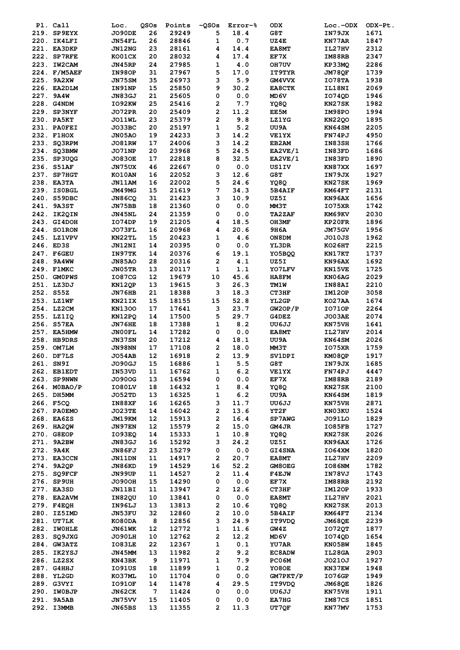| Pl. Call                   | Loc.                    | QSOs     | Points         | $-QSOS$                 | Error-%               | ODX            | $Loc.-ODX$       | ODX-Pt.      |
|----------------------------|-------------------------|----------|----------------|-------------------------|-----------------------|----------------|------------------|--------------|
| 219. SP9EYX                | JO90DE                  | 26       | 29249          | 5                       | 18.4                  | G8T            | IN79JX           | 1671         |
| 220. IK4LFI                | JN54FL                  | 26       | 28846          | $\mathbf 1$             | 0.7                   | UZ4E           | KN77AR           | 1847         |
| 221. EA3DKP                | JN12NG                  | 23       | 28161          | 4                       | 14.4                  | <b>EA8MT</b>   | IL27HV           | 2312         |
| 222. SP7RFE                | KO01CX                  | 20       | 28032          | 4                       | 17.4                  | EF7X           | IM88RB           | 2347         |
| 223. IW2CAM                | JN45RP                  | 24       | 27985          | 1                       | ${\bf 4}$ . ${\bf 0}$ | OH7UV          | KP33MQ           | 2286         |
| 224. F/M5AEF               | IN98OP                  | 31       | 27967          | 5                       | 17.0                  | IT9TYR         | JM78QF           | 1739         |
| 225. 9A2XW                 | JN75SM                  | 35       | 26973          | 3                       | 5.9                   | <b>GM4VVX</b>  | IO78TA           | 1938         |
| 226. EA2DLM                | IN91NP                  | 15       | 25850          | 9                       | 30.2                  | <b>EA8CTK</b>  | IL18NI           | 2069         |
| 227. 9A4W                  | JN83GJ                  | 21       | 25605          | 0                       | $0.0$                 | MD 6V          | IO74QD           | 1946         |
| 228. G4NDM                 | IO92KW                  | 25       | 25416          | 2                       | 7.7                   | YQ8Q           | KN27SK           | 1982         |
| 229. SP3NYF                | JO72PR                  | 20       | 25409          | 2                       | 11.2                  | EE5M           | IM98PO           | 1994         |
| 230. PA5KT                 | <b>JO11WL</b>           | 23       | 25379          | $\overline{\mathbf{2}}$ | 9.8                   | <b>LZ1YG</b>   | <b>KN22QO</b>    | 1895         |
| 231. PAOFEI                | JO33BC                  | 20       | 25197          | 1                       | 5.2                   | UU9A           | KN64SM           | 2205         |
| 232. F1HOX                 | <b>JN05AO</b>           | 19       | 24233          | 3                       | 14.2                  | <b>VE1YX</b>   | FN74PJ           | 4950         |
| 233. SQ3RPM                | <b>JO81RW</b>           | 17       | 24006          | 3                       | 14.2                  | EB2AM          | IN83SH           | 1766         |
| 234. SQ3BMW                | JO71NP                  | 20       | 23968          | 5                       | 24.5                  | EA2VE/1        | IN83FD           | 1686         |
| 235. SP3UQG                | <b>JO830E</b>           | 17       | 22818          | 8                       | 32.5                  | EA2VE/1        | IN83FD           | 1890         |
| 236. S51AF                 | JN75UX                  | 46       | 22667          | 0                       | $0.0$                 | <b>US1IV</b>   | KN87XX           | 1697         |
| 237. SP7HGT                | KO10AN                  | 16       | 22052          | 3                       | 12.6                  | G8T            | IN79JX           | 1927         |
| 238. EA3TA                 | JN11AM                  | 16       | 22002          | 5                       | 24.6                  | YQ8Q           | KN27SK           | 1969         |
| 239. ISOBGL                | JM49MG                  | 15       | 21619          | 7                       | 34.3                  | 5B4AIF         | KM64FT           | 2131         |
| 240. S59DBC                | <b>JN86CQ</b>           | 31       | 21423          | 3                       | 10.9                  | UZ5I           | KN96AX           | 1656         |
| 241. 9A3ST                 | JN75BB                  | 18       | 21360          | 0                       | $0.0$                 | MM3T           | <b>IO75XR</b>    | 1742         |
| 242. IK2QIN                | JN45NL                  | 24       | 21359          | 0                       | 0.0                   | <b>TA2ZAF</b>  | KM69KV           | 2030         |
| 243. GI4DOH                | IO74DP                  | 19       | 21205          | 4                       | 18.5                  | OH3MF          | KP20FR           | 1896         |
| 244. SO1RON                | JO73FL                  | 16       | 20968          | 4                       | 20.6                  | <b>9H6A</b>    | JM75GV           | 1956         |
| 245. LZ1VPV                | KN22TL                  | 15       | 20423          | 1                       | 4.6                   | ON8DM          | JO10JS           | 1962         |
| 246. ED3S                  | JN12NI                  | 14       | 20395          | 0                       | 0.0                   | YL3DR          | KO26HT           | 2215         |
| 247. F6GEU                 | IN97TK                  | 14       | 20376          | 6                       | 19.1                  | YO5BQQ         | KN17KT           | 1737         |
| 248. 9A4WW                 | <b>JN85AO</b>           | 28       | 20316          | 2                       | 4.1                   | UZ5I           | KN96AX           | 1692         |
| 249. F1MKC                 | JN05TR                  | 13       | 20117          | $\mathbf 1$             | 1.1                   | YO7LFV         | KN15VE           | 1725         |
| 250. GMOPWS                | IO87CG                  | 12       | 19679          | 10                      | 45.6                  | HA8FM          | KN06AG           | 2029         |
| 251. LZ3DJ                 | KN12QP                  | 13       | 19615          | 3                       | 26.3                  | TM1W           | IN88AI           | 2210         |
| 252. S55Z                  | JN76HB                  | 21       | 18388          | 3                       | 18.3                  | CT3HF          | <b>IM120P</b>    | 3058         |
| 253. LZ1WF                 | KN21IX                  | 15       | 18155          | 15                      | 52.8                  | YL2GP          | KO27AA           | 1674         |
| 254. LZ2CM                 | <b>KN1300</b>           | 17<br>14 | 17641<br>17500 | 3<br>5                  | 23.7<br>29.7          | GW2OP/P        | I0710P           | 2264<br>2074 |
| 255. LZ1IQ                 | KN12PO                  | 18       |                |                         |                       | G4DEZ          | <b>JO03AE</b>    |              |
| 256. S57EA                 | JN76HE                  |          | 17388          | 1<br>0                  | 8.2                   | UU6JJ<br>EA8MT | KN75VH           | 1641         |
| 257. EA5HMW<br>258. HB9DRS | JN00FL<br><b>JN37SN</b> | 14<br>20 | 17282<br>17212 | 4                       | $0.0$<br>18.1         | UU9A           | IL27HV<br>KN64SM | 2014<br>2026 |
| 259. OM7LM                 | JN98NN                  | 17       | 17108          | $\mathbf{2}$            | 18.0                  | <b>MM3T</b>    | I075XR           | 1759         |
| 260. DF7LS                 | <b>JO54AB</b>           | 12       | 16918          | 2                       | 13.9                  | SV1DPI         | KM08QP           | 1917         |
| 261. SN9I                  | JO90GJ                  | 15       | 16886          | 1                       | 5.5                   | G8T            | IN79JX           | 1685         |
| 262. EB1EDT                | IN53VD                  | 11       | 16762          | 1                       | 6.2                   | <b>VE1YX</b>   | FN74PJ           | 4447         |
| 263. SP9NWN                | <b>JO900G</b>           | 13       | 16594          | 0                       | $0.0$                 | EF7X           | IM88RB           | 2189         |
| 264. MOBAO/P               | IO80LV                  | 18       | 16432          | 1                       | 8.4                   | YQ8Q           | KN27SK           | 2100         |
| 265. DH5MM                 | JO52TD                  | 13       | 16325          | 1                       | 6.2                   | UU9A           | KN64SM           | 1819         |
| 266. F5CQ                  | <b>IN88XF</b>           | 16       | 16265          | 3                       | 11.7                  | UU6JJ          | KN75VH           | 2871         |
| 267. PA0EMO                | JO23TE                  | 14       | 16042          | 2                       | 13.6                  | YT2F           | KN03KU           | 1524         |
| 268. EA6ZS                 | JM19KM                  | 12       | 15913          | 2                       | 16.4                  | SP7AWG         | JO91LO           | 1829         |
| 269. HA2QW                 | <b>JN97EN</b>           | 12       | 15579          | 2                       | 15.0                  | GM4JR          | IO85FB           | 1727         |
| 270. G8EOP                 | IO93EO                  | 14       | 15333          | 1                       | 10.8                  | YQ8Q           | KN27SK           | 2026         |
| 271. 9A2BW                 | JN83GJ                  | 16       | 15292          | 3                       | 24.2                  | UZ5I           | KN96AX           | 1726         |
| 272. 9A4K                  | JN86FJ                  | 23       | 15279          | 0                       | 0.0                   | <b>GI4SNA</b>  | 1064XM           | 1820         |
| 273. EA3CCN                | JN11DN                  | 11       | 14917          | 2                       | 20.7                  | EA8MT          | IL27HV           | 2209         |
| 274. 9A2QP                 | JN86KD                  | 19       | 14529          | 16                      | 52.2                  | GM8OEG         | IO86NM           | 1782         |
| 275. SO9FCF                | JN99UP                  | 11       | 14527          | 2                       | 11.4                  | <b>F4EJW</b>   | IN78VJ           | 1743         |
| 276. SP9UH                 | <b>JO90OH</b>           | 15       | 14290          | 0                       | 0.0                   | EF7X           | IM88RB           | 2192         |
| 277. EA3SD                 | <b>JN11BI</b>           | 11       | 13947          | 2                       | 12.6                  | CT3HF          | IM12OP           | 1933         |
| 278. EA2AVM                | IN82QU                  | 10       | 13841          | 0                       | $0.0$                 | EA8MT          | IL27HV           | 2021         |
| 279. F4EQH                 | IN96LJ                  | 13       | 13813          | 2                       | 10.6                  | YQ8Q           | KN27SK           | 2013         |
| 280. IZ5IMD                | JN53FU                  | 32       | 12860          | 2                       | 10.0                  | 5B4AIF         | KM64FT           | 2134         |
| 281. UT7LK                 | KO80DA                  | 8        | 12856          | 3                       | 24.9                  | IT9VDQ         | JM68QE           | 2239         |
| 282. IWOHLE                | JN61WK                  | 12       | 12772          | 1                       | 11.6                  | GW4Z           | <b>IO72QT</b>    | 1877         |
| 283. SQ9JXG                | JO90LH                  | 10       | 12762          | 2                       | 12.2                  | MD6V           | IO74QD           | 1654         |
| 284. GW3ATZ                | IO83LE                  | 22       | 12367          | 1                       | 0.1                   | <b>YU7AR</b>   | KN05BW           | 1845         |
| 285. IK2YSJ                | JN45MM                  | 13       | 11982          | 2                       | 9.2                   | <b>EC8ADW</b>  | IL28GA           | 2903         |
| 286. LZ2SX                 | KN43BK                  | 9        | 11971          | 1                       | 7.9                   | PC06M          | J0210J           | 1927         |
| 287. G4HHJ                 | IO91US                  | 18       | 11899          | 1                       | 0.2                   | YO8OE          | KN37EW           | 1948         |
| 288. YL2GD                 | KO37ML                  | 10       | 11704          | 0                       | $0.0$                 | GM7PKT/P       | IO76GP           | 1949         |
| 289. G3VYI                 | <b>IO910F</b>           | 14       | 11478          | 4                       | 29.5                  | IT9VDQ         | JM68QE           | 1826         |
| 290. IWOBJP                | JN62CK                  | 7        | 11424          | 0                       | 0.0                   | UU6JJ          | KN75VH           | 1911         |
| 291. 9A5AB                 | JN75VV                  | 15       | 11405          | 0                       | 0.0                   | <b>EA7HG</b>   | IM87CS           | 1851         |
| 292. I3MMB                 | JN65BS                  | 13       | 11355          | 2                       | 11.3                  | <b>UT7QF</b>   | KN77MV           | 1753         |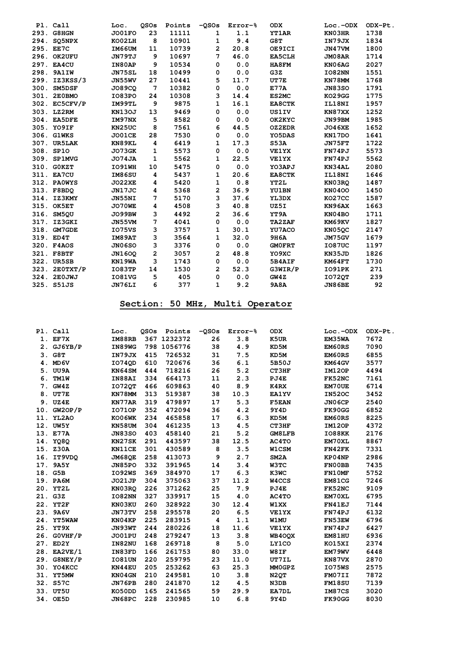|      | Pl. Call      | Loc.          | <b>OSOs</b>    | Points | $-QSOS$        | Error-% | <b>ODX</b>    | Loc.-ODX      | ODX-Pt. |
|------|---------------|---------------|----------------|--------|----------------|---------|---------------|---------------|---------|
|      | 293. G8HGN    | JO01FO        | 23             | 11111  | 1              | 1.1     | <b>YT1AR</b>  | KN03HR        | 1738    |
|      | 294. SO5NPX   | KO02LH        | 8              | 10901  | 1              | 9.4     | G8T           | IN79JX        | 1834    |
|      | 295. EE7C     | IM66UM        | 11             | 10739  | $\overline{2}$ | 20.8    | OE9ICI        | JN47VM        | 1800    |
|      | 296. OK2UFU   | JN79TJ        | 9              | 10697  | 7              | 46.0    | <b>EA5CLH</b> | JM08AR        | 1714    |
|      | 297. EA4CU    | IN80AP        | 9              | 10534  | 0              | 0.0     | HA8FM         | KN06AG        | 2027    |
|      | 298. 9A1IW    | <b>JN75SL</b> | 18             | 10499  | 0              | 0.0     | G3Z           | IO82NN        | 1551    |
|      | 299. IZ3KSS/3 | JN55WV        | 27             | 10441  | 5              | 11.7    | UT7E          | KN78MM        | 1768    |
| 300. | SM5DSF        | <b>JO89CO</b> | 7              | 10382  | 0              | 0.0     | E77A          | <b>JN83SO</b> | 1791    |
| 301. | 2E0BMO        | IO83PO        | 24             | 10308  | 3              | 14.4    | ES2MC         | KO29GG        | 1775    |
|      | 302. EC5CFV/P | IM99TL        | 9              | 9875   | 1              | 16.1    | EA8CTK        | IL18NI        | 1957    |
|      | 303. LZ2RM    | <b>KN130J</b> | 13             | 9469   | 0              | 0.0     | <b>US1IV</b>  | KN87XX        | 1252    |
|      | 304. EA5DFE   | IM97NX        | 5              | 8582   | 0              | 0.0     | OK2KYC        | JN99BM        | 1985    |
|      | 305. YO9IF    | KN25UC        | 8              | 7561   | 6              | 44.5    | OZ2EDR        | <b>JO46XE</b> | 1652    |
|      | 306. G1WKS    | <b>JO01CE</b> | 28             | 7530   | 0              | 0.0     | YO5DAS        | KN17DO        | 1641    |
|      | 307. UR5LAK   | KN89KL        | 4              | 6419   | 1              | 17.3    | S53A          | JN75FT        | 1722    |
|      | 308. SP10     | JO73GK        | 1              | 5573   | 0              | 0.0     | <b>VE1YX</b>  | FN74PJ        | 5573    |
|      | 309. SP1MVG   | JO74JA        | 1              | 5562   | 1              | 22.5    | <b>VE1YX</b>  | FN74PJ        | 5562    |
|      | 310. GOKZT    | IO91WH        | 10             | 5475   | 0              | 0.0     | YO3APJ        | KN34AL        | 2080    |
|      | 311. EA7CU    | IM86SU        | 4              | 5437   | 1              | 20.6    | <b>EA8CTK</b> | IL18NI        | 1646    |
|      | 312. PAOWYS   | <b>JO22XE</b> | 4              | 5420   | 1              | 0.8     | YT2L          | KN03RO        | 1487    |
|      | 313. F8BDO    | JN17JC        | 4              | 5368   | 2              | 36.9    | <b>YU1BN</b>  | <b>KN0400</b> | 1450    |
|      | 314. IZ3KMY   | JN55NI        | 7              | 5170   | 3              | 37.6    | YL3DX         | KO27CC        | 1587    |
|      | 315. OK5ET    | JO70WE        | 4              | 4508   | 3              | 40.8    | UZ5I          | KN96AX        | 1663    |
|      | 316. SM5OU    | JO99BW        | 3              | 4492   | $\overline{a}$ | 36.6    | YT9A          | KN04BO        | 1711    |
|      | 317. IZ3GKI   | JN55VM        | 7              | 4041   | 0              | 0.0     | <b>TA2ZAF</b> | KM69KV        | 1827    |
|      | 318. GM7GDE   | I075VS        | 3              | 3757   | 1              | 30.1    | YU7ACO        | <b>KN050C</b> | 2147    |
|      | 319. ED4T     | IM89AT        | 3              | 3564   | 1              | 32.0    | <b>9H6A</b>   | JM75GV        | 1679    |
|      | 320. F4AOS    | JN06SO        | 3              | 3376   | 0              | 0.0     | <b>GMOFRT</b> | <b>IO87UC</b> | 1197    |
|      | 321. F8BTF    | <b>JN1600</b> | $\overline{a}$ | 3057   | 2              | 48.8    | YO9XC         | KN35JD        | 1826    |
|      | 322. UR5SB    | KN19WA        | 3              | 1743   | 0              | 0.0     | 5B4AIF        | KM64FT        | 1730    |
|      | 323. 2E0TXT/P | IO83TP        | 14             | 1530   | $\overline{a}$ | 52.3    | G3WIR/P       | IO91PK        | 271     |
|      | 324. 2E0JWJ   | <b>IO81VG</b> | 5              | 405    | 0              | 0.0     | GW4Z          | <b>IO720T</b> | 239     |
|      | 325. S51JS    | JN76LI        | 6              | 377    | 1              | 9.2     | <b>9A8A</b>   | JN86BE        | 92      |

## **Section: 50 MHz, Multi Operator**

|    | Pl. Call    | Loc.          | <b>OSOs</b> | Points      | $-0.50s$ | Error-% | <b>ODX</b>    | $Loc.-ODX$    | ODX-Pt. |
|----|-------------|---------------|-------------|-------------|----------|---------|---------------|---------------|---------|
|    | 1. EF7X     | IM88RB        |             | 367 1232372 | 26       | 3.8     | K5UR          | EM35WA        | 7672    |
|    | 2. GJ6YB/P  | IN89WG        |             | 798 1056776 | 38       | 4.9     | KD5M          | EM60RS        | 7090    |
|    | 3. G8T      | IN79JX        | 415         | 726532      | 31       | 7.5     | KD5M          | <b>EM60RS</b> | 6855    |
|    | 4. MD6V     | I0740D        | 610         | 720676      | 36       | 6.1     | 5B50J         | KM64GV        | 3577    |
|    | 5. UU9A     | KN64SM        | 444         | 718216      | 26       | 5.2     | CT3HF         | <b>IM120P</b> | 4494    |
| 6. | <b>TM1W</b> | IN88AI        | 334         | 664173      | 11       | 2.3     | PJ4E          | <b>FK52NC</b> | 7161    |
| 7. | GW4Z        | <b>IO720T</b> | 466         | 609863      | 40       | 8.9     | K4RX          | <b>EM70UE</b> | 6714    |
| 8. | <b>UT7E</b> | KN78MM        | 313         | 519387      | 38       | 10.3    | <b>EA1YV</b>  | <b>IN520C</b> | 3452    |
|    | 9. UZ4E     | KN77AR        | 319         | 479897      | 17       | 5.3     | <b>F5EAN</b>  | <b>JN06CP</b> | 2540    |
|    | 10. GW2OP/P | <b>IO710P</b> | 352         | 472094      | 36       | 4.2     | 9Y4D          | FK90GG        | 6852    |
|    | 11. YL2AO   | KO06WK        | 234         | 465858      | 17       | 6.3     | KD5M          | EM60RS        | 8225    |
|    | 12. UW5Y    | KN58UM        | 304         | 461235      | 13       | 4.5     | CT3HF         | IM12OP        | 4372    |
|    | 13. E77A    | <b>JN83SO</b> | 403         | 458140      | 21       | 5.2     | <b>GM8LFB</b> | IO88KK        | 2176    |
|    | 14. YQ8Q    | KN27SK        | 291         | 443597      | 38       | 12.5    | AC4TO         | <b>EM70XL</b> | 8867    |
|    | 15. Z30A    | KN11CE        | 301         | 430589      | 8        | 3.5     | <b>W1CSM</b>  | FN42FK        | 7331    |
|    | 16. IT9VDQ  | <b>JM680E</b> | 258         | 413073      | 9        | 2.7     | SM2A          | KP04NP        | 2986    |
|    | 17. 9A5Y    | JN85PO        | 332         | 391965      | 14       | 3.4     | W3TC          | FN00BB        | 7435    |
|    | 18. G5B     | IO92WS        | 369         | 384970      | 17       | 6.3     | K3WC          | FN10MF        | 5752    |
|    | 19. PA6M    | <b>JO21JP</b> | 304         | 375063      | 37       | 11.2    | W4CCS         | EM81CG        | 7246    |
|    | 20. YT2L    | KN03RQ        | 226         | 371262      | 25       | 7.9     | PJ4E          | FK52NC        | 9109    |
|    | 21. G3Z     | IO82NN        | 327         | 339917      | 15       | 4.0     | AC4TO         | EM70XL        | 6795    |
|    | 22. YT2F    | KN03KU        | 260         | 328922      | 30       | 12.4    | W1XX          | <b>FN41EJ</b> | 7144    |
|    | 23. 9A6V    | JN73TV        | 258         | 295578      | 20       | 6.5     | <b>VE1YX</b>  | FN74PJ        | 6132    |
|    | 24. YT5WAW  | KN04KP        | 225         | 283915      | 4        | 1.1     | <b>W1MU</b>   | <b>FN53EW</b> | 6796    |
|    | 25. YT9X    | JN93WT        | 244         | 280226      | 18       | 11.6    | <b>VE1YX</b>  | FN74PJ        | 6427    |
|    | 26. GOVHF/P | JO01PU        | 248         | 279247      | 13       | 3.8     | <b>WB400X</b> | <b>EM81HU</b> | 6936    |
|    | 27. ED2Y    | IN82NU        | 168         | 269718      | 8        | 5.0     | LY1CO         | KO15XI        | 2374    |
|    | 28. EA2VE/1 | IN83FD        | 166         | 261753      | 80       | 33.0    | W8IF          | EM79WV        | 6448    |
|    | 29. G8NEY/P | <b>IO81UN</b> | 220         | 259795      | 23       | 11.0    | UT7IL         | KN87VX        | 2870    |
|    | 30. YO4KCC  | KN44EU        | 205         | 253262      | 63       | 25.3    | MM0GPZ        | IO75WS        | 2575    |
|    | 31. YT5MW   | KN04GN        | 210         | 249581      | 10       | 3.8     | N2QT          | FM07II        | 7872    |
|    | 32. S57C    | JN76PB        | 280         | 241870      | 12       | 4.5     | N3DB          | <b>FM18SU</b> | 7139    |
|    | 33. UT5U    | KO50DD        | 165         | 241565      | 59       | 29.9    | EA7DL         | IM87CS        | 3020    |
|    | 34. OE5D    | JN68PC        | 228         | 230985      | 10       | 6.8     | 9Y4D          | FK90GG        | 8030    |